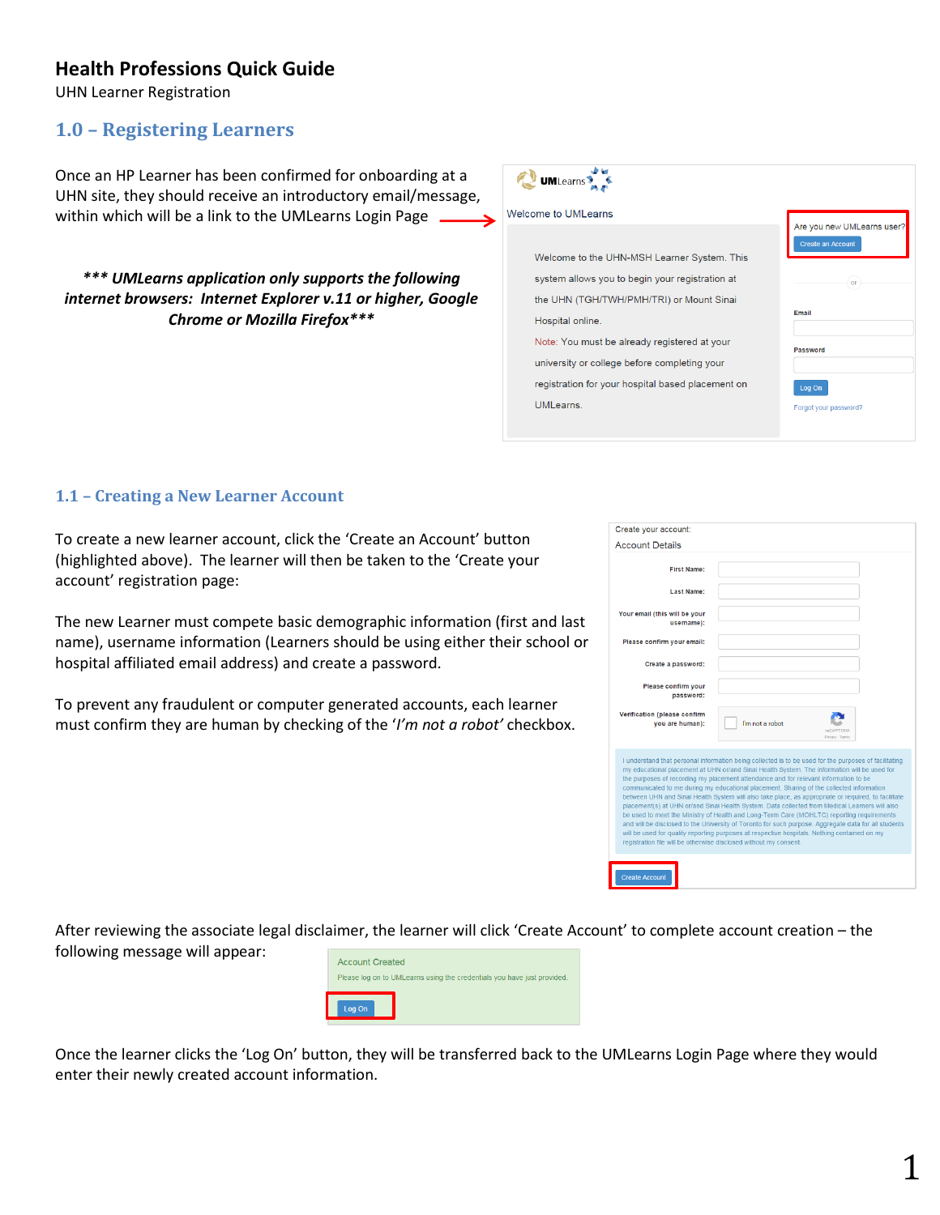## **Health Professions Quick Guide**

UHN Learner Registration

## **1.0 – Registering Learners**

Once an HP Learner has been confirmed for onboarding at a UHN site, they should receive an introductory email/message, within which will be a link to the UMLearns Login Page

*\*\*\* UMLearns application only supports the following internet browsers: Internet Explorer v.11 or higher, Google Chrome or Mozilla Firefox\*\*\** 



### **1.1 – Creating a New Learner Account**

To create a new learner account, click the 'Create an Account' button (highlighted above). The learner will then be taken to the 'Create your account' registration page:

The new Learner must compete basic demographic information (first and last name), username information (Learners should be using either their school or hospital affiliated email address) and create a password.

To prevent any fraudulent or computer generated accounts, each learner must confirm they are human by checking of the '*I'm not a robot'* checkbox.

| Create your account:                                              |                                                                                                                                                                                                                                                                                                                                                                                                                                                                                                                                                                                                                                                                                                                                                                                                                                                                                                         |
|-------------------------------------------------------------------|---------------------------------------------------------------------------------------------------------------------------------------------------------------------------------------------------------------------------------------------------------------------------------------------------------------------------------------------------------------------------------------------------------------------------------------------------------------------------------------------------------------------------------------------------------------------------------------------------------------------------------------------------------------------------------------------------------------------------------------------------------------------------------------------------------------------------------------------------------------------------------------------------------|
| <b>Account Details</b>                                            |                                                                                                                                                                                                                                                                                                                                                                                                                                                                                                                                                                                                                                                                                                                                                                                                                                                                                                         |
| First Name:                                                       |                                                                                                                                                                                                                                                                                                                                                                                                                                                                                                                                                                                                                                                                                                                                                                                                                                                                                                         |
| <b>Last Name:</b>                                                 |                                                                                                                                                                                                                                                                                                                                                                                                                                                                                                                                                                                                                                                                                                                                                                                                                                                                                                         |
| Your email (this will be your<br>username):                       |                                                                                                                                                                                                                                                                                                                                                                                                                                                                                                                                                                                                                                                                                                                                                                                                                                                                                                         |
| Please confirm your email:                                        |                                                                                                                                                                                                                                                                                                                                                                                                                                                                                                                                                                                                                                                                                                                                                                                                                                                                                                         |
| Create a password:                                                |                                                                                                                                                                                                                                                                                                                                                                                                                                                                                                                                                                                                                                                                                                                                                                                                                                                                                                         |
| Please confirm your<br>password:                                  |                                                                                                                                                                                                                                                                                                                                                                                                                                                                                                                                                                                                                                                                                                                                                                                                                                                                                                         |
| Verification (please confirm<br>you are human):                   | I'm not a robot<br><b>reCAPTCHA</b><br>Privacy - Terms                                                                                                                                                                                                                                                                                                                                                                                                                                                                                                                                                                                                                                                                                                                                                                                                                                                  |
| registration file will be otherwise disclosed without my consent. | I understand that personal information being collected is to be used for the purposes of facilitating<br>my educational placement at UHN or/and Sinai Health System. The information will be used for<br>the purposes of recording my placement attendance and for relevant information to be<br>communicated to me during my educational placement. Sharing of the collected information<br>between UHN and Sinai Health System will also take place, as appropriate or required, to facilitate<br>placement(s) at UHN or/and Sinai Health System. Data collected from Medical Learners will also<br>be used to meet the Ministry of Health and Long-Term Care (MOHLTC) reporting requirements<br>and will be disclosed to the University of Toronto for such purpose. Aggregate data for all students<br>will be used for quality reporting purposes at respective hospitals. Nothing contained on my |
|                                                                   |                                                                                                                                                                                                                                                                                                                                                                                                                                                                                                                                                                                                                                                                                                                                                                                                                                                                                                         |

After reviewing the associate legal disclaimer, the learner will click 'Create Account' to complete account creation – the following message will appear:



Once the learner clicks the 'Log On' button, they will be transferred back to the UMLearns Login Page where they would enter their newly created account information.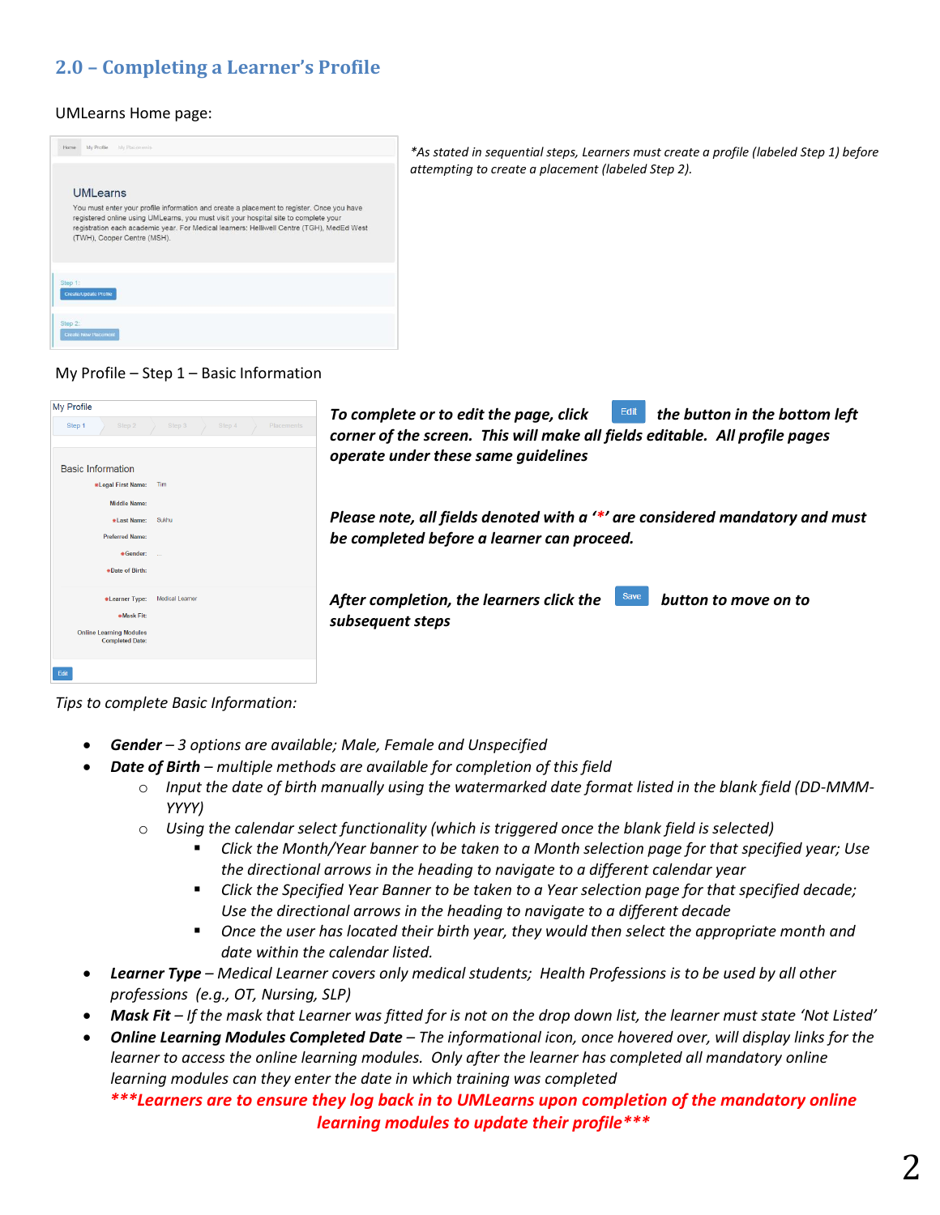# **2.0 – Completing a Learner's Profile**

#### UMLearns Home page:



*\*As stated in sequential steps, Learners must create a profile (labeled Step 1) before attempting to create a placement (labeled Step 2).* 

#### My Profile – Step 1 – Basic Information

| <b>My Profile</b><br>Placements<br>Step 1<br>Step 2<br>Step 3<br>Step 4 | Edit<br>the button in the bottom left<br>To complete or to edit the page, click<br>corner of the screen. This will make all fields editable. All profile pages<br>operate under these same guidelines |
|-------------------------------------------------------------------------|-------------------------------------------------------------------------------------------------------------------------------------------------------------------------------------------------------|
| <b>Basic Information</b>                                                |                                                                                                                                                                                                       |
| *Legal First Name: Tim                                                  |                                                                                                                                                                                                       |
| <b>Middle Name:</b>                                                     |                                                                                                                                                                                                       |
| #Last Name: Sukhu                                                       | Please note, all fields denoted with a '*' are considered mandatory and must                                                                                                                          |
| <b>Preferred Name:</b>                                                  | be completed before a learner can proceed.                                                                                                                                                            |
| *Gender:                                                                |                                                                                                                                                                                                       |
| *Date of Birth:                                                         |                                                                                                                                                                                                       |
|                                                                         |                                                                                                                                                                                                       |
| <b>Medical Learner</b><br>*Learner Type:                                | Save<br>After completion, the learners click the<br>button to move on to                                                                                                                              |
| *Mask Fit:                                                              | subsequent steps                                                                                                                                                                                      |
| <b>Online Learning Modules</b><br><b>Completed Date:</b>                |                                                                                                                                                                                                       |
| Edit                                                                    |                                                                                                                                                                                                       |

*Tips to complete Basic Information:* 

- *Gender – 3 options are available; Male, Female and Unspecified*
- *Date of Birth – multiple methods are available for completion of this field* 
	- o *Input the date of birth manually using the watermarked date format listed in the blank field (DD-MMM-YYYY)*
	- o *Using the calendar select functionality (which is triggered once the blank field is selected)* 
		- *Click the Month/Year banner to be taken to a Month selection page for that specified year; Use the directional arrows in the heading to navigate to a different calendar year*
		- *Click the Specified Year Banner to be taken to a Year selection page for that specified decade; Use the directional arrows in the heading to navigate to a different decade*
		- *Once the user has located their birth year, they would then select the appropriate month and date within the calendar listed.*
- *Learner Type – Medical Learner covers only medical students; Health Professions is to be used by all other professions (e.g., OT, Nursing, SLP)*
- *Mask Fit* If the mask that Learner was fitted for is not on the drop down list, the learner must state 'Not Listed'
- *Online Learning Modules Completed Date – The informational icon, once hovered over, will display links for the learner to access the online learning modules. Only after the learner has completed all mandatory online learning modules can they enter the date in which training was completed*

### *\*\*\*Learners are to ensure they log back in to UMLearns upon completion of the mandatory online learning modules to update their profile\*\*\**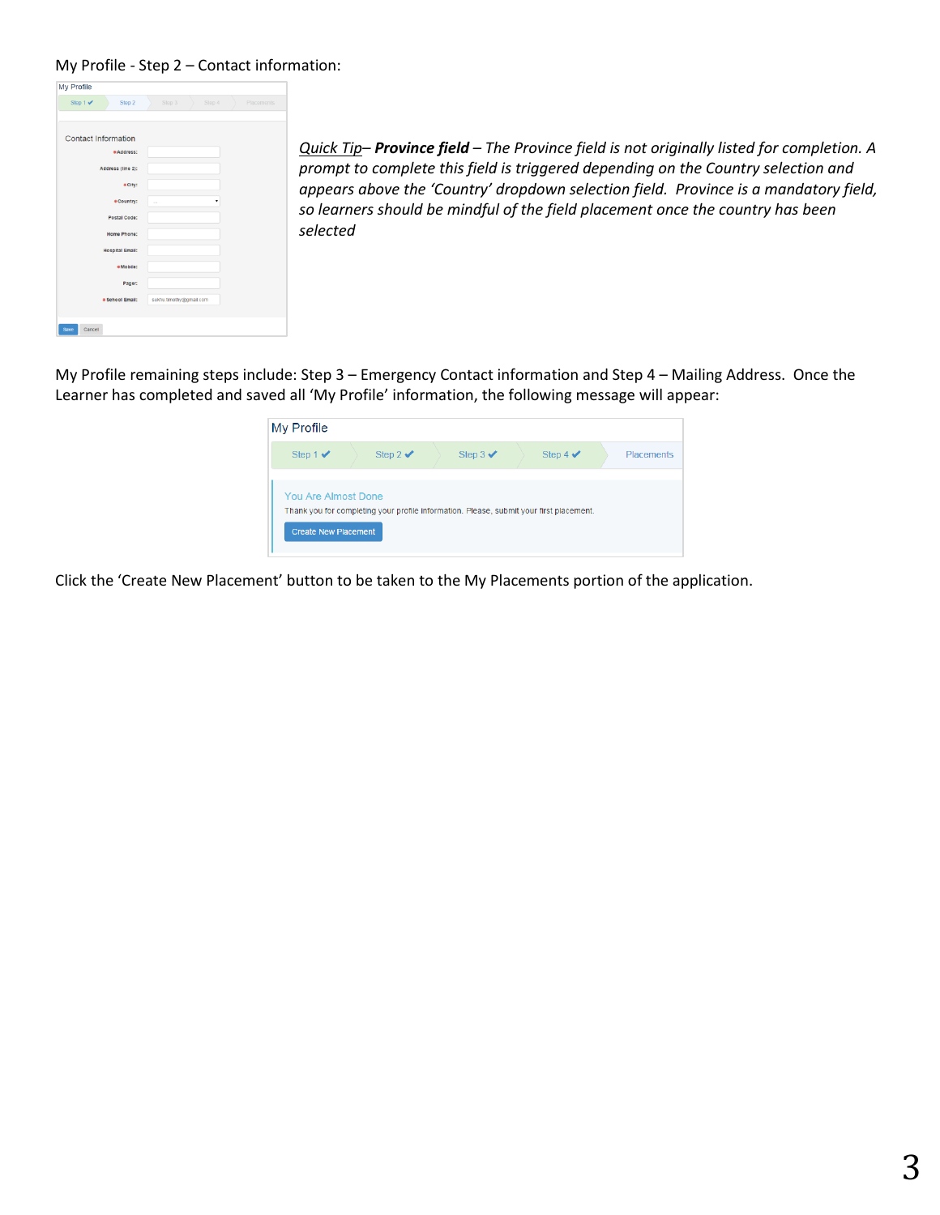#### My Profile - Step 2 – Contact information:

| My Profile                             |                                |
|----------------------------------------|--------------------------------|
| Step $1 \blacktriangleright$<br>Step 2 | Step 3<br>Step 4<br>Placements |
| <b>Contact Information</b>             |                                |
| *Address:                              |                                |
| Address (line 2):                      |                                |
| · City:                                |                                |
| #Country:                              | $\sim$                         |
| Postal Code:                           |                                |
| Home Phone:                            |                                |
| <b>Hospital Email:</b>                 |                                |
| *Mobile:                               |                                |
| Pager:                                 |                                |
| · School Email:                        | sukhu.timothy@gmail.com        |
|                                        |                                |
| Save<br>Cancel                         |                                |

*Quick Tip– Province field – The Province field is not originally listed for completion. A prompt to complete this field is triggered depending on the Country selection and appears above the 'Country' dropdown selection field. Province is a mandatory field, so learners should be mindful of the field placement once the country has been selected* 

My Profile remaining steps include: Step 3 – Emergency Contact information and Step 4 – Mailing Address. Once the Learner has completed and saved all 'My Profile' information, the following message will appear:

| My Profile                                                |                     |                                                                                         |                              |                   |
|-----------------------------------------------------------|---------------------|-----------------------------------------------------------------------------------------|------------------------------|-------------------|
| Step 1 $\checkmark$                                       | Step 2 $\checkmark$ | Step $3 \checkmark$                                                                     | Step 4 $\blacktriangleright$ | <b>Placements</b> |
| <b>You Are Almost Done</b><br><b>Create New Placement</b> |                     | Thank you for completing your profile information. Please, submit your first placement. |                              |                   |

Click the 'Create New Placement' button to be taken to the My Placements portion of the application.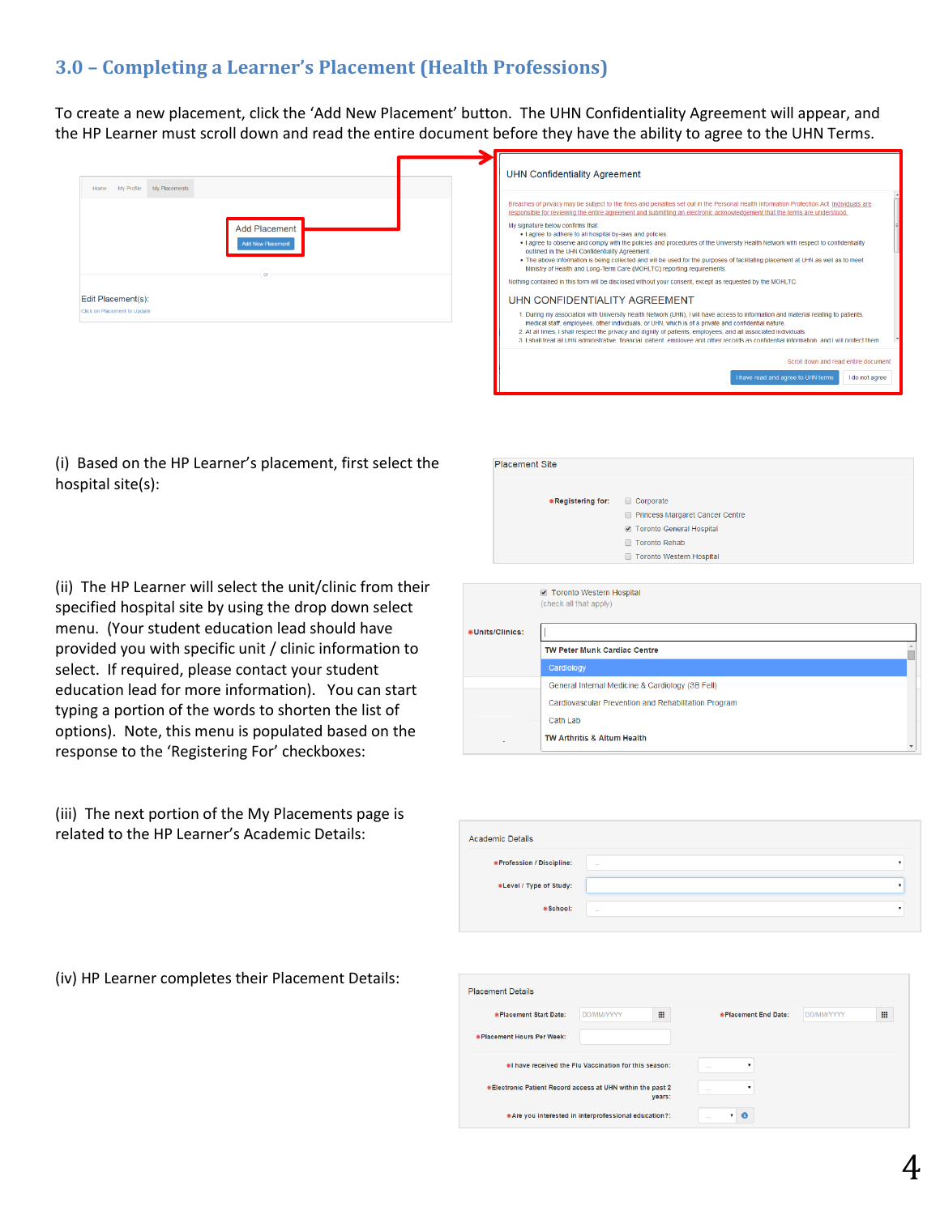# **3.0 – Completing a Learner's Placement (Health Professions)**

To create a new placement, click the 'Add New Placement' button. The UHN Confidentiality Agreement will appear, and the HP Learner must scroll down and read the entire document before they have the ability to agree to the UHN Terms.

| My Profile My Placements<br>Home                                                                       | <b>UHN Confidentiality Agreement</b>                                                                                                                                                                                                                                                                                                                                                                                                                                                                                                                                                                                                                                                                                                                                                                                                                                                                                                                                                                                                                                                                                                                                                                                                                                                                                                                                                                                                          |
|--------------------------------------------------------------------------------------------------------|-----------------------------------------------------------------------------------------------------------------------------------------------------------------------------------------------------------------------------------------------------------------------------------------------------------------------------------------------------------------------------------------------------------------------------------------------------------------------------------------------------------------------------------------------------------------------------------------------------------------------------------------------------------------------------------------------------------------------------------------------------------------------------------------------------------------------------------------------------------------------------------------------------------------------------------------------------------------------------------------------------------------------------------------------------------------------------------------------------------------------------------------------------------------------------------------------------------------------------------------------------------------------------------------------------------------------------------------------------------------------------------------------------------------------------------------------|
| <b>Add Placement</b><br><b>Add New Placement</b><br>Edit Placement(s):<br>Click on Placement to Update | Breaches of privacy may be subject to the fines and penalties set out in the Personal Health Information Protection Act. Individuals are<br>responsible for reviewing the entire agreement and submitting an electronic acknowledgement that the terms are understood.<br>My signature below confirms that:<br>. I agree to adhere to all hospital by-laws and policies.<br>. I agree to observe and comply with the policies and procedures of the University Health Network with respect to confidentiality<br>outlined in the UHN Confidentiality Agreement.<br>. The above information is being collected and will be used for the purposes of facilitating placement at UHN as well as to meet<br>Ministry of Health and Long-Term Care (MOHLTC) reporting requirements.<br>Nothing contained in this form will be disclosed without your consent, except as requested by the MOHLTC.<br>UHN CONFIDENTIALITY AGREEMENT<br>1. During my association with University Health Network (UHN), I will have access to information and material relating to patients,<br>medical staff, employees, other individuals, or UHN, which is of a private and confidential nature.<br>2. At all times, I shall respect the privacy and dignity of patients, employees, and all associated individuals.<br>3. I shall freat all UHN administrative, financial, patient, employee and other records as confidential information, and I will protect them |
|                                                                                                        | Scroll down and read entire document<br>I have read and agree to UHN terms<br>I do not agree                                                                                                                                                                                                                                                                                                                                                                                                                                                                                                                                                                                                                                                                                                                                                                                                                                                                                                                                                                                                                                                                                                                                                                                                                                                                                                                                                  |

(i) Based on the HP Learner's placement, first select the hospital site(s):

| <b>Placement Site</b>                              |                                           |
|----------------------------------------------------|-------------------------------------------|
| *Registering for:                                  | Corporate                                 |
|                                                    | Princess Margaret Cancer Centre<br>$\Box$ |
|                                                    | Toronto General Hospital                  |
|                                                    | <b>Toronto Rehab</b>                      |
|                                                    | <b>Toronto Western Hospital</b>           |
|                                                    |                                           |
| Toronto Western Hospital<br>(check all that apply) |                                           |

(ii) The HP Learner will select the unit/clinic from their specified hospital site by using the drop down select menu. (Your student education lead should have provided you with specific unit / clinic information to select. If required, please contact your student education lead for more information). You can start typing a portion of the words to shorten the list of options). Note, this menu is populated based on the response to the 'Registering For' checkboxes:

(iii) The next portion of the My Placements page is related to the HP Learner's Academic Details:

|                | <b>E</b> TOTORICO VVESICITI HOSPITAL<br>(check all that apply) |  |
|----------------|----------------------------------------------------------------|--|
| Units/Clinics: |                                                                |  |
|                | <b>TW Peter Munk Cardiac Centre</b>                            |  |
|                | Cardiology                                                     |  |
|                | General Internal Medicine & Cardiology (3B Fell)               |  |
|                | Cardiovascular Prevention and Rehabilitation Program           |  |
|                | Cath Lab                                                       |  |
|                | TW Arthritis & Altum Health                                    |  |
|                |                                                                |  |

| <b>Academic Details</b>   |                              |  |
|---------------------------|------------------------------|--|
| *Profession / Discipline: | $\sim$                       |  |
| *Level / Type of Study:   |                              |  |
| *School:                  | <b><i><u>ALLESSE</u></i></b> |  |

(iv) HP Learner completes their Placement Details:

| <b>Placement Details</b>                                   |                   |        |                                    |                   |   |
|------------------------------------------------------------|-------------------|--------|------------------------------------|-------------------|---|
| *Placement Start Date:                                     | <b>DD/MM/YYYY</b> | m      | *Placement End Date:               | <b>DD/MM/YYYY</b> | ₩ |
| * Placement Hours Per Week:                                |                   |        |                                    |                   |   |
| #I have received the Flu Vaccination for this season:      |                   |        | $\mathbf{v}$<br>1.11               |                   |   |
| *Electronic Patient Record access at UHN within the past 2 |                   | years: | $\overline{\phantom{a}}$<br>$\sim$ |                   |   |
| *Are you interested in interprofessional education?:       |                   |        | $\bullet$                          |                   |   |